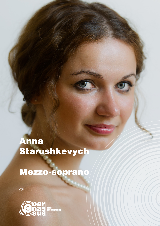## Anna Starushkevych

## Mezzo-soprano

CV

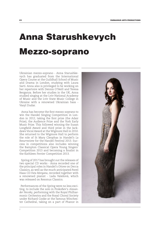## Anna Starushkevych Mezzo-soprano

Ukrainian mezzo-soprano - Anna Starushkevych has graduated from the International Opera Course at the Guildhall School of Music and Drama in London, studying with Laura Sarti. Anna also is privileged to be working on her repertoire with Dennis O'Neill and Teresa Berganza. Before her studies in the UK, Anna studied singing at the Lviv National Academy of Music and the Lviv State Music College in Ukraine with a renowned Ukrainian bass - Vasyl Dudar.

 Anna has become the first mezzo-soprano to win the Handel Singing Competition in London in 2012, taking the first prize (the Adair Prize), the Audience Prize and the York Early Music Prize. This followed winning the Susan Longfield Award and third prize in the Jackdaws Vocal Award at the Wigmore Hall in 2010. She returned to the Wigmore Hall to perform the role of St Mary Cleophas in Handel's *La Resurrezione* for the Handel Festival 2013. Success in competitions also includes winning the Bampton Classical Opera Young Singers' Competition 2013 and becoming a finalist in the Kathleen Ferrier Competition 2013.

 Spring of 2017 has brought out the releases of two special CD works - Anna recorded one of the principal roles in Handel's *Ottone* on Decca Classics, as well as the much anticipated Pavel Haas CD *Fata Morgana*, recorded together with a renowned pianist - Lada Valešová, which was released on Resonus Classics.

 Performances of the Spring were no less exciting, to include the solo in Prokofiev's *Alexander Nevsky*, performing with the Royal Philharmonic Orchestra and the Royal Choral Society under Richard Cooke at the famous Winchester Cathedral, taking on a part of Phanor in